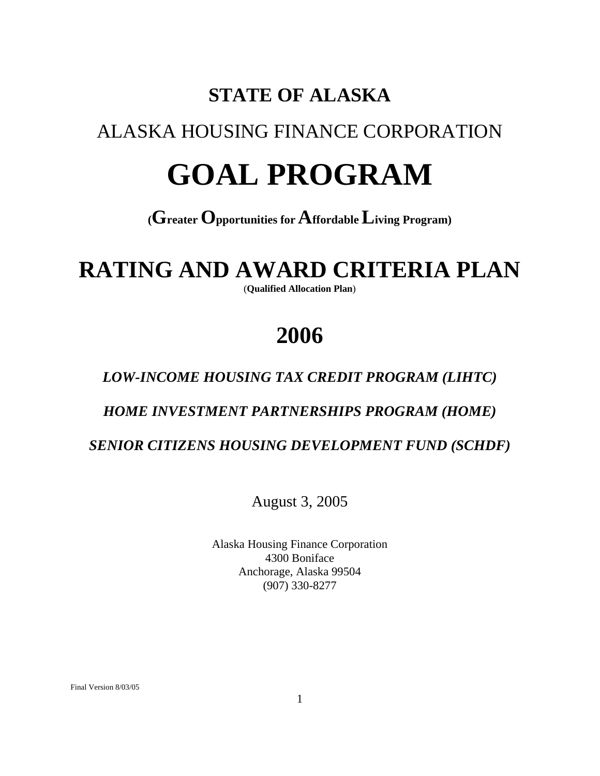## **STATE OF ALASKA**

## ALASKA HOUSING FINANCE CORPORATION

# **GOAL PROGRAM**

## **(Greater Opportunities for Affordable Living Program)**

## **RATING AND AWARD CRITERIA PLAN**

(**Qualified Allocation Plan**)

## **2006**

## *LOW-INCOME HOUSING TAX CREDIT PROGRAM (LIHTC)*

## *HOME INVESTMENT PARTNERSHIPS PROGRAM (HOME)*

 *SENIOR CITIZENS HOUSING DEVELOPMENT FUND (SCHDF)*

August 3, 2005

Alaska Housing Finance Corporation 4300 Boniface Anchorage, Alaska 99504 (907) 330-8277

Final Version 8/03/05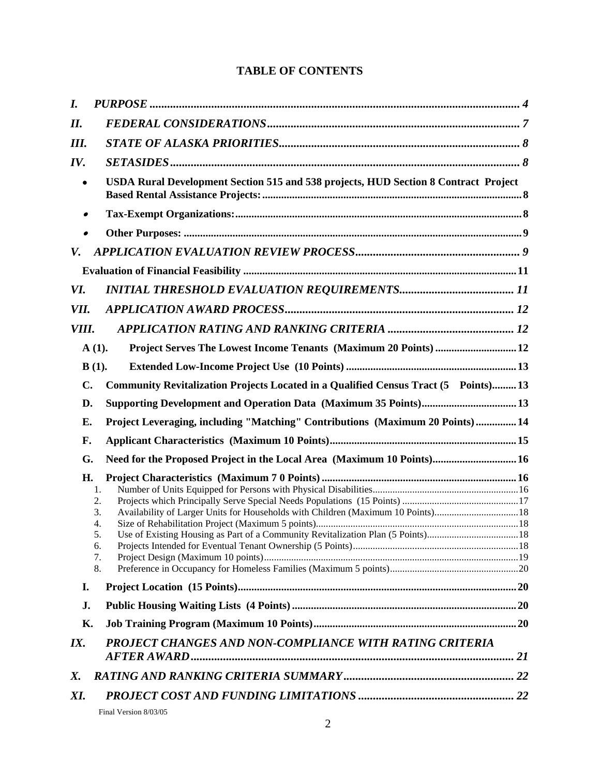## **TABLE OF CONTENTS**

| $\bm{I}$ .  |                                                                                                                           |  |
|-------------|---------------------------------------------------------------------------------------------------------------------------|--|
| II.         |                                                                                                                           |  |
| <b>III.</b> |                                                                                                                           |  |
| IV.         |                                                                                                                           |  |
|             | USDA Rural Development Section 515 and 538 projects, HUD Section 8 Contract Project                                       |  |
|             |                                                                                                                           |  |
|             |                                                                                                                           |  |
| V.          |                                                                                                                           |  |
|             |                                                                                                                           |  |
| VI.         |                                                                                                                           |  |
| VII.        |                                                                                                                           |  |
| VIII.       |                                                                                                                           |  |
|             | Project Serves The Lowest Income Tenants (Maximum 20 Points)  12<br>$A(1)$ .                                              |  |
|             | $B(1)$ .                                                                                                                  |  |
| C.          | Community Revitalization Projects Located in a Qualified Census Tract (5 Points) 13                                       |  |
| D.          |                                                                                                                           |  |
| Е.          | Project Leveraging, including "Matching" Contributions (Maximum 20 Points)  14                                            |  |
| F.          |                                                                                                                           |  |
| G.          | Need for the Proposed Project in the Local Area (Maximum 10 Points) 16                                                    |  |
| H.          | 1.<br>2.<br>Availability of Larger Units for Households with Children (Maximum 10 Points)18<br>3.<br>4.<br>6.<br>7.<br>8. |  |
| I.          |                                                                                                                           |  |
| J.          |                                                                                                                           |  |
| Κ.          |                                                                                                                           |  |
| IX.         | PROJECT CHANGES AND NON-COMPLIANCE WITH RATING CRITERIA                                                                   |  |
| Х.          |                                                                                                                           |  |
| XI.         |                                                                                                                           |  |
|             | Final Version 8/03/05                                                                                                     |  |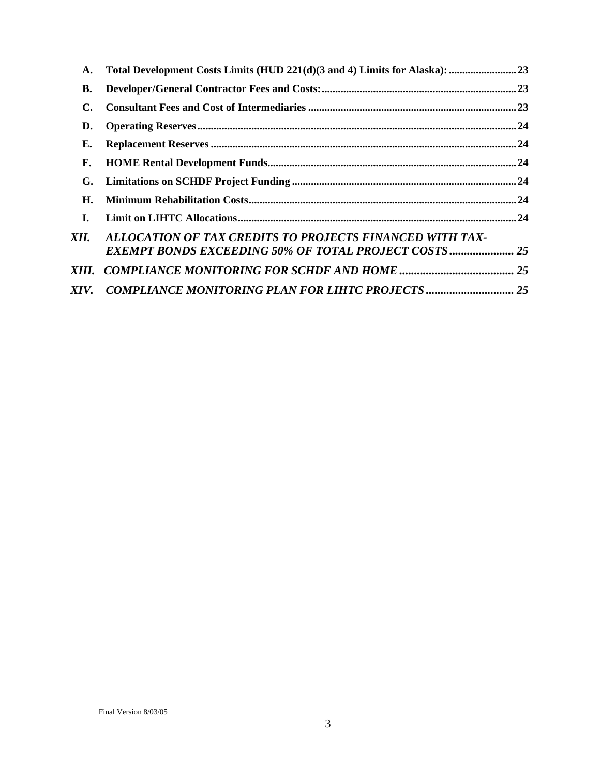| A.             |                                                                                                                         |  |
|----------------|-------------------------------------------------------------------------------------------------------------------------|--|
| <b>B.</b>      |                                                                                                                         |  |
| $\mathbf{C}$ . |                                                                                                                         |  |
| D.             |                                                                                                                         |  |
| Е.             |                                                                                                                         |  |
| F.             |                                                                                                                         |  |
| G.             |                                                                                                                         |  |
| Н.             |                                                                                                                         |  |
| I.             |                                                                                                                         |  |
| XII.           | ALLOCATION OF TAX CREDITS TO PROJECTS FINANCED WITH TAX-<br><b>EXEMPT BONDS EXCEEDING 50% OF TOTAL PROJECT COSTS 25</b> |  |
| XIII.          |                                                                                                                         |  |
| XIV.           |                                                                                                                         |  |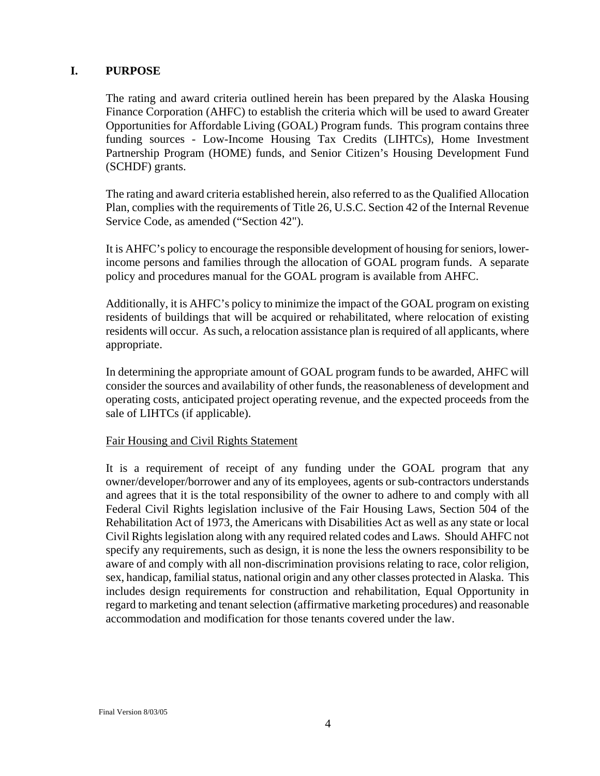#### <span id="page-3-0"></span>**I. PURPOSE**

The rating and award criteria outlined herein has been prepared by the Alaska Housing Finance Corporation (AHFC) to establish the criteria which will be used to award Greater Opportunities for Affordable Living (GOAL) Program funds. This program contains three funding sources - Low-Income Housing Tax Credits (LIHTCs), Home Investment Partnership Program (HOME) funds, and Senior Citizen's Housing Development Fund (SCHDF) grants.

The rating and award criteria established herein, also referred to as the Qualified Allocation Plan, complies with the requirements of Title 26, U.S.C. Section 42 of the Internal Revenue Service Code, as amended ("Section 42").

It is AHFC's policy to encourage the responsible development of housing for seniors, lowerincome persons and families through the allocation of GOAL program funds. A separate policy and procedures manual for the GOAL program is available from AHFC.

Additionally, it is AHFC's policy to minimize the impact of the GOAL program on existing residents of buildings that will be acquired or rehabilitated, where relocation of existing residents will occur. As such, a relocation assistance plan is required of all applicants, where appropriate.

In determining the appropriate amount of GOAL program funds to be awarded, AHFC will consider the sources and availability of other funds, the reasonableness of development and operating costs, anticipated project operating revenue, and the expected proceeds from the sale of LIHTCs (if applicable).

#### Fair Housing and Civil Rights Statement

It is a requirement of receipt of any funding under the GOAL program that any owner/developer/borrower and any of its employees, agents or sub-contractors understands and agrees that it is the total responsibility of the owner to adhere to and comply with all Federal Civil Rights legislation inclusive of the Fair Housing Laws, Section 504 of the Rehabilitation Act of 1973, the Americans with Disabilities Act as well as any state or local Civil Rights legislation along with any required related codes and Laws. Should AHFC not specify any requirements, such as design, it is none the less the owners responsibility to be aware of and comply with all non-discrimination provisions relating to race, color religion, sex, handicap, familial status, national origin and any other classes protected in Alaska. This includes design requirements for construction and rehabilitation, Equal Opportunity in regard to marketing and tenant selection (affirmative marketing procedures) and reasonable accommodation and modification for those tenants covered under the law.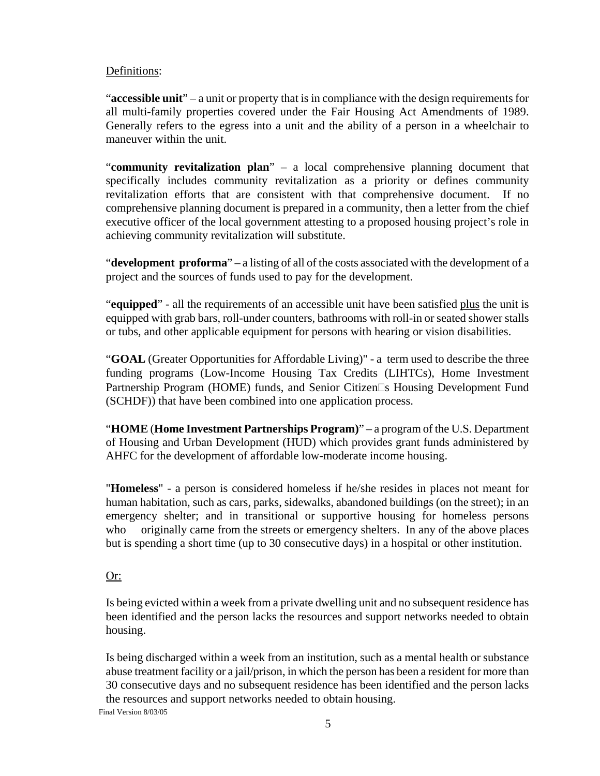#### Definitions:

"**accessible unit**" – a unit or property that is in compliance with the design requirements for all multi-family properties covered under the Fair Housing Act Amendments of 1989. Generally refers to the egress into a unit and the ability of a person in a wheelchair to maneuver within the unit.

"**community revitalization plan**" – a local comprehensive planning document that specifically includes community revitalization as a priority or defines community revitalization efforts that are consistent with that comprehensive document. If no comprehensive planning document is prepared in a community, then a letter from the chief executive officer of the local government attesting to a proposed housing project's role in achieving community revitalization will substitute.

"**development proforma**" – a listing of all of the costs associated with the development of a project and the sources of funds used to pay for the development.

"**equipped**" - all the requirements of an accessible unit have been satisfied plus the unit is equipped with grab bars, roll-under counters, bathrooms with roll-in or seated shower stalls or tubs, and other applicable equipment for persons with hearing or vision disabilities.

"**GOAL** (Greater Opportunities for Affordable Living)" - a term used to describe the three funding programs (Low-Income Housing Tax Credits (LIHTCs), Home Investment Partnership Program (HOME) funds, and Senior Citizen  $\Box s$  Housing Development Fund (SCHDF)) that have been combined into one application process.

"**HOME** (**Home Investment Partnerships Program)**" – a program of the U.S. Department of Housing and Urban Development (HUD) which provides grant funds administered by AHFC for the development of affordable low-moderate income housing.

"**Homeless**" - a person is considered homeless if he/she resides in places not meant for human habitation, such as cars, parks, sidewalks, abandoned buildings (on the street); in an emergency shelter; and in transitional or supportive housing for homeless persons who originally came from the streets or emergency shelters. In any of the above places but is spending a short time (up to 30 consecutive days) in a hospital or other institution.

## Or:

Is being evicted within a week from a private dwelling unit and no subsequent residence has been identified and the person lacks the resources and support networks needed to obtain housing.

Is being discharged within a week from an institution, such as a mental health or substance abuse treatment facility or a jail/prison, in which the person has been a resident for more than 30 consecutive days and no subsequent residence has been identified and the person lacks the resources and support networks needed to obtain housing.

Final Version 8/03/05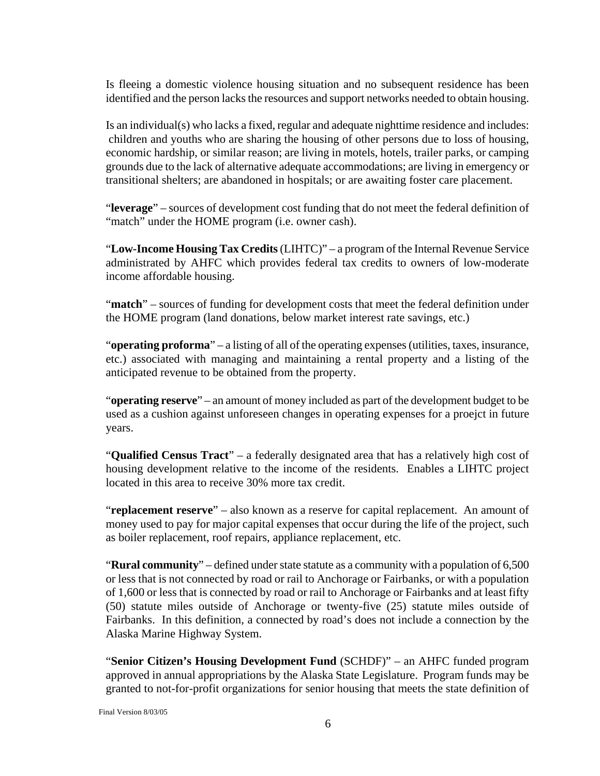Is fleeing a domestic violence housing situation and no subsequent residence has been identified and the person lacks the resources and support networks needed to obtain housing.

Is an individual(s) who lacks a fixed, regular and adequate nighttime residence and includes: children and youths who are sharing the housing of other persons due to loss of housing, economic hardship, or similar reason; are living in motels, hotels, trailer parks, or camping grounds due to the lack of alternative adequate accommodations; are living in emergency or transitional shelters; are abandoned in hospitals; or are awaiting foster care placement.

"**leverage**" – sources of development cost funding that do not meet the federal definition of "match" under the HOME program (i.e. owner cash).

"**Low-Income Housing Tax Credits** (LIHTC)" – a program of the Internal Revenue Service administrated by AHFC which provides federal tax credits to owners of low-moderate income affordable housing.

"**match**" – sources of funding for development costs that meet the federal definition under the HOME program (land donations, below market interest rate savings, etc.)

"**operating proforma**" – a listing of all of the operating expenses (utilities, taxes, insurance, etc.) associated with managing and maintaining a rental property and a listing of the anticipated revenue to be obtained from the property.

"**operating reserve**" – an amount of money included as part of the development budget to be used as a cushion against unforeseen changes in operating expenses for a proejct in future years.

"**Qualified Census Tract**" – a federally designated area that has a relatively high cost of housing development relative to the income of the residents. Enables a LIHTC project located in this area to receive 30% more tax credit.

"**replacement reserve**" – also known as a reserve for capital replacement. An amount of money used to pay for major capital expenses that occur during the life of the project, such as boiler replacement, roof repairs, appliance replacement, etc.

"**Rural community**" – defined under state statute as a community with a population of 6,500 or less that is not connected by road or rail to Anchorage or Fairbanks, or with a population of 1,600 or less that is connected by road or rail to Anchorage or Fairbanks and at least fifty (50) statute miles outside of Anchorage or twenty-five (25) statute miles outside of Fairbanks. In this definition, a connected by road's does not include a connection by the Alaska Marine Highway System.

"**Senior Citizen's Housing Development Fund** (SCHDF)" – an AHFC funded program approved in annual appropriations by the Alaska State Legislature. Program funds may be granted to not-for-profit organizations for senior housing that meets the state definition of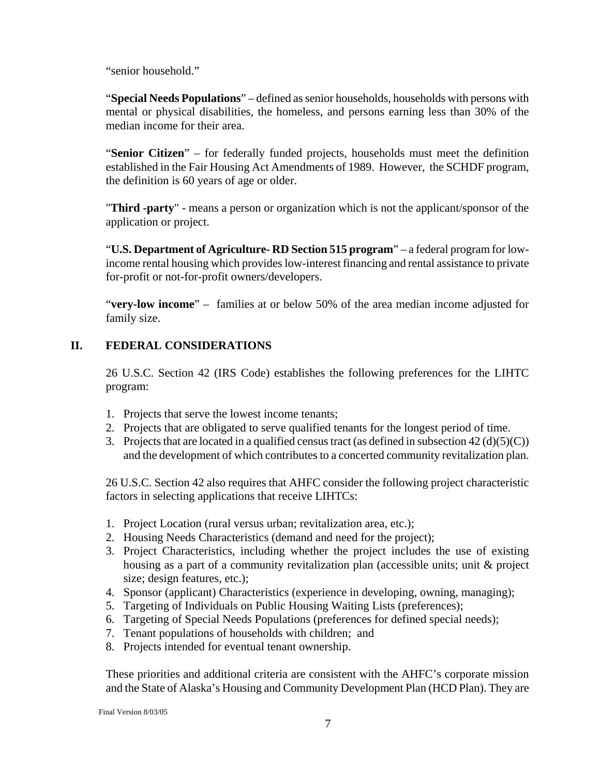<span id="page-6-0"></span>"senior household."

"**Special Needs Populations**" – defined as senior households, households with persons with mental or physical disabilities, the homeless, and persons earning less than 30% of the median income for their area.

"**Senior Citizen**" – for federally funded projects, households must meet the definition established in the Fair Housing Act Amendments of 1989. However, the SCHDF program, the definition is 60 years of age or older.

"**Third -party**" - means a person or organization which is not the applicant/sponsor of the application or project.

"**U.S. Department of Agriculture- RD Section 515 program**" – a federal program for lowincome rental housing which provides low-interest financing and rental assistance to private for-profit or not-for-profit owners/developers.

"**very-low income**" – families at or below 50% of the area median income adjusted for family size.

## **II. FEDERAL CONSIDERATIONS**

26 U.S.C. Section 42 (IRS Code) establishes the following preferences for the LIHTC program:

- 1. Projects that serve the lowest income tenants;
- 2. Projects that are obligated to serve qualified tenants for the longest period of time.
- 3. Projects that are located in a qualified census tract (as defined in subsection  $42 \text{ (d)(5)(C)}$ ) and the development of which contributes to a concerted community revitalization plan.

26 U.S.C. Section 42 also requires that AHFC consider the following project characteristic factors in selecting applications that receive LIHTCs:

- 1. Project Location (rural versus urban; revitalization area, etc.);
- 2. Housing Needs Characteristics (demand and need for the project);
- 3. Project Characteristics, including whether the project includes the use of existing housing as a part of a community revitalization plan (accessible units; unit & project size; design features, etc.);
- 4. Sponsor (applicant) Characteristics (experience in developing, owning, managing);
- 5. Targeting of Individuals on Public Housing Waiting Lists (preferences);
- 6. Targeting of Special Needs Populations (preferences for defined special needs);
- 7. Tenant populations of households with children; and
- 8. Projects intended for eventual tenant ownership.

These priorities and additional criteria are consistent with the AHFC's corporate mission and the State of Alaska's Housing and Community Development Plan (HCD Plan). They are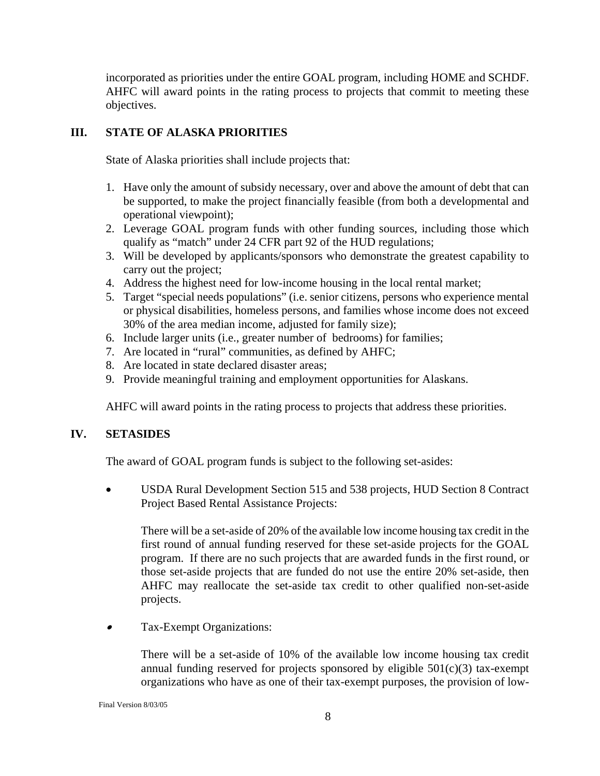<span id="page-7-0"></span>incorporated as priorities under the entire GOAL program, including HOME and SCHDF. AHFC will award points in the rating process to projects that commit to meeting these objectives.

#### **III. STATE OF ALASKA PRIORITIES**

State of Alaska priorities shall include projects that:

- 1. Have only the amount of subsidy necessary, over and above the amount of debt that can be supported, to make the project financially feasible (from both a developmental and operational viewpoint);
- 2. Leverage GOAL program funds with other funding sources, including those which qualify as "match" under 24 CFR part 92 of the HUD regulations;
- 3. Will be developed by applicants/sponsors who demonstrate the greatest capability to carry out the project;
- 4. Address the highest need for low-income housing in the local rental market;
- 5. Target "special needs populations" (i.e. senior citizens, persons who experience mental or physical disabilities, homeless persons, and families whose income does not exceed 30% of the area median income, adjusted for family size);
- 6. Include larger units (i.e., greater number of bedrooms) for families;
- 7. Are located in "rural" communities, as defined by AHFC;
- 8. Are located in state declared disaster areas;
- 9. Provide meaningful training and employment opportunities for Alaskans.

AHFC will award points in the rating process to projects that address these priorities.

## **IV. SETASIDES**

The award of GOAL program funds is subject to the following set-asides:

• USDA Rural Development Section 515 and 538 projects, HUD Section 8 Contract Project Based Rental Assistance Projects:

There will be a set-aside of 20% of the available low income housing tax credit in the first round of annual funding reserved for these set-aside projects for the GOAL program. If there are no such projects that are awarded funds in the first round, or those set-aside projects that are funded do not use the entire 20% set-aside, then AHFC may reallocate the set-aside tax credit to other qualified non-set-aside projects.

•Tax-Exempt Organizations:

> There will be a set-aside of 10% of the available low income housing tax credit annual funding reserved for projects sponsored by eligible  $501(c)(3)$  tax-exempt organizations who have as one of their tax-exempt purposes, the provision of low-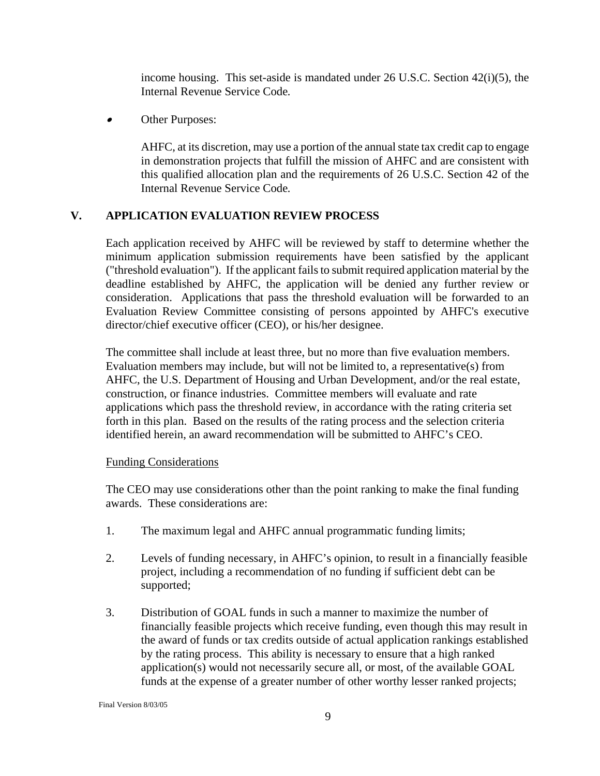income housing. This set-aside is mandated under 26 U.S.C. Section 42(i)(5), the Internal Revenue Service Code*.*

<span id="page-8-0"></span>•Other Purposes:

> AHFC, at its discretion, may use a portion of the annual state tax credit cap to engage in demonstration projects that fulfill the mission of AHFC and are consistent with this qualified allocation plan and the requirements of 26 U.S.C. Section 42 of the Internal Revenue Service Code*.*

## **V. APPLICATION EVALUATION REVIEW PROCESS**

Each application received by AHFC will be reviewed by staff to determine whether the minimum application submission requirements have been satisfied by the applicant ("threshold evaluation"). If the applicant fails to submit required application material by the deadline established by AHFC, the application will be denied any further review or consideration. Applications that pass the threshold evaluation will be forwarded to an Evaluation Review Committee consisting of persons appointed by AHFC's executive director/chief executive officer (CEO), or his/her designee.

The committee shall include at least three, but no more than five evaluation members. Evaluation members may include, but will not be limited to, a representative(s) from AHFC, the U.S. Department of Housing and Urban Development, and/or the real estate, construction, or finance industries. Committee members will evaluate and rate applications which pass the threshold review, in accordance with the rating criteria set forth in this plan. Based on the results of the rating process and the selection criteria identified herein, an award recommendation will be submitted to AHFC's CEO.

#### Funding Considerations

The CEO may use considerations other than the point ranking to make the final funding awards. These considerations are:

- 1. The maximum legal and AHFC annual programmatic funding limits;
- 2. Levels of funding necessary, in AHFC's opinion, to result in a financially feasible project, including a recommendation of no funding if sufficient debt can be supported;
- 3. Distribution of GOAL funds in such a manner to maximize the number of financially feasible projects which receive funding, even though this may result in the award of funds or tax credits outside of actual application rankings established by the rating process. This ability is necessary to ensure that a high ranked application(s) would not necessarily secure all, or most, of the available GOAL funds at the expense of a greater number of other worthy lesser ranked projects;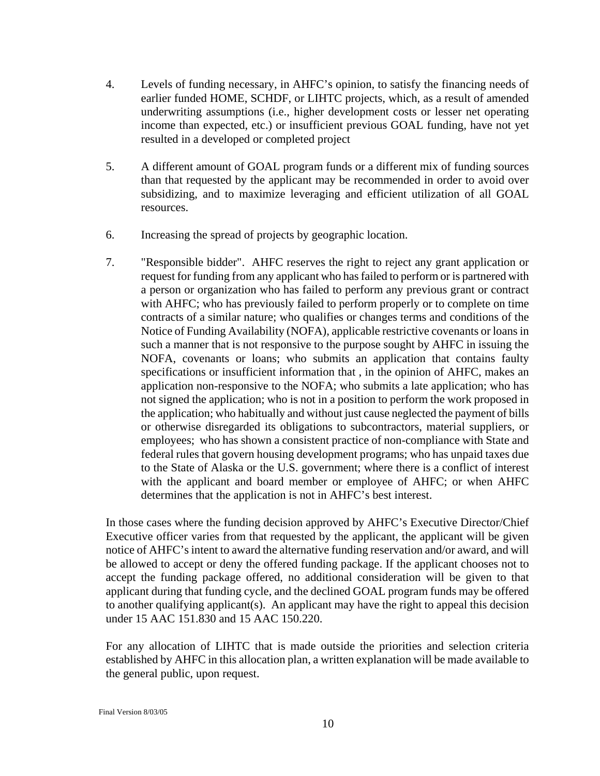- 4. Levels of funding necessary, in AHFC's opinion, to satisfy the financing needs of earlier funded HOME, SCHDF, or LIHTC projects, which, as a result of amended underwriting assumptions (i.e., higher development costs or lesser net operating income than expected, etc.) or insufficient previous GOAL funding, have not yet resulted in a developed or completed project
- 5. A different amount of GOAL program funds or a different mix of funding sources than that requested by the applicant may be recommended in order to avoid over subsidizing, and to maximize leveraging and efficient utilization of all GOAL resources.
- 6. Increasing the spread of projects by geographic location.
- 7. "Responsible bidder". AHFC reserves the right to reject any grant application or request for funding from any applicant who has failed to perform or is partnered with a person or organization who has failed to perform any previous grant or contract with AHFC; who has previously failed to perform properly or to complete on time contracts of a similar nature; who qualifies or changes terms and conditions of the Notice of Funding Availability (NOFA), applicable restrictive covenants or loans in such a manner that is not responsive to the purpose sought by AHFC in issuing the NOFA, covenants or loans; who submits an application that contains faulty specifications or insufficient information that , in the opinion of AHFC, makes an application non-responsive to the NOFA; who submits a late application; who has not signed the application; who is not in a position to perform the work proposed in the application; who habitually and without just cause neglected the payment of bills or otherwise disregarded its obligations to subcontractors, material suppliers, or employees; who has shown a consistent practice of non-compliance with State and federal rules that govern housing development programs; who has unpaid taxes due to the State of Alaska or the U.S. government; where there is a conflict of interest with the applicant and board member or employee of AHFC; or when AHFC determines that the application is not in AHFC's best interest.

In those cases where the funding decision approved by AHFC's Executive Director/Chief Executive officer varies from that requested by the applicant, the applicant will be given notice of AHFC's intent to award the alternative funding reservation and/or award, and will be allowed to accept or deny the offered funding package. If the applicant chooses not to accept the funding package offered, no additional consideration will be given to that applicant during that funding cycle, and the declined GOAL program funds may be offered to another qualifying applicant(s). An applicant may have the right to appeal this decision under 15 AAC 151.830 and 15 AAC 150.220.

For any allocation of LIHTC that is made outside the priorities and selection criteria established by AHFC in this allocation plan, a written explanation will be made available to the general public, upon request.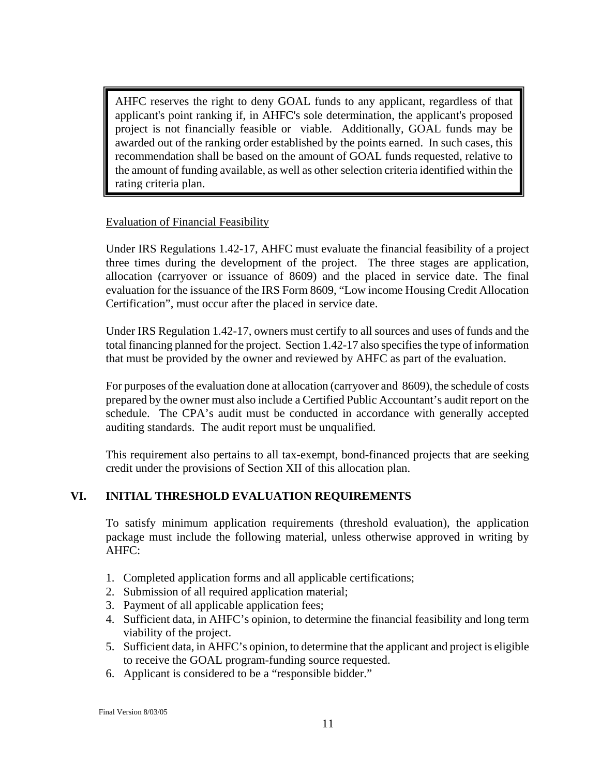<span id="page-10-0"></span>AHFC reserves the right to deny GOAL funds to any applicant, regardless of that applicant's point ranking if, in AHFC's sole determination, the applicant's proposed project is not financially feasible or viable. Additionally, GOAL funds may be awarded out of the ranking order established by the points earned. In such cases, this recommendation shall be based on the amount of GOAL funds requested, relative to the amount of funding available, as well as other selection criteria identified within the rating criteria plan.

#### Evaluation of Financial Feasibility

Under IRS Regulations 1.42-17, AHFC must evaluate the financial feasibility of a project three times during the development of the project. The three stages are application, allocation (carryover or issuance of 8609) and the placed in service date. The final evaluation for the issuance of the IRS Form 8609, "Low income Housing Credit Allocation Certification", must occur after the placed in service date.

Under IRS Regulation 1.42-17, owners must certify to all sources and uses of funds and the total financing planned for the project. Section 1.42-17 also specifies the type of information that must be provided by the owner and reviewed by AHFC as part of the evaluation.

For purposes of the evaluation done at allocation (carryover and 8609), the schedule of costs prepared by the owner must also include a Certified Public Accountant's audit report on the schedule. The CPA's audit must be conducted in accordance with generally accepted auditing standards. The audit report must be unqualified.

This requirement also pertains to all tax-exempt, bond-financed projects that are seeking credit under the provisions of Section XII of this allocation plan.

## **VI. INITIAL THRESHOLD EVALUATION REQUIREMENTS**

To satisfy minimum application requirements (threshold evaluation), the application package must include the following material, unless otherwise approved in writing by AHFC:

- 1. Completed application forms and all applicable certifications;
- 2. Submission of all required application material;
- 3. Payment of all applicable application fees;
- 4. Sufficient data, in AHFC's opinion, to determine the financial feasibility and long term viability of the project.
- 5. Sufficient data, in AHFC's opinion, to determine that the applicant and project is eligible to receive the GOAL program-funding source requested.
- 6. Applicant is considered to be a "responsible bidder."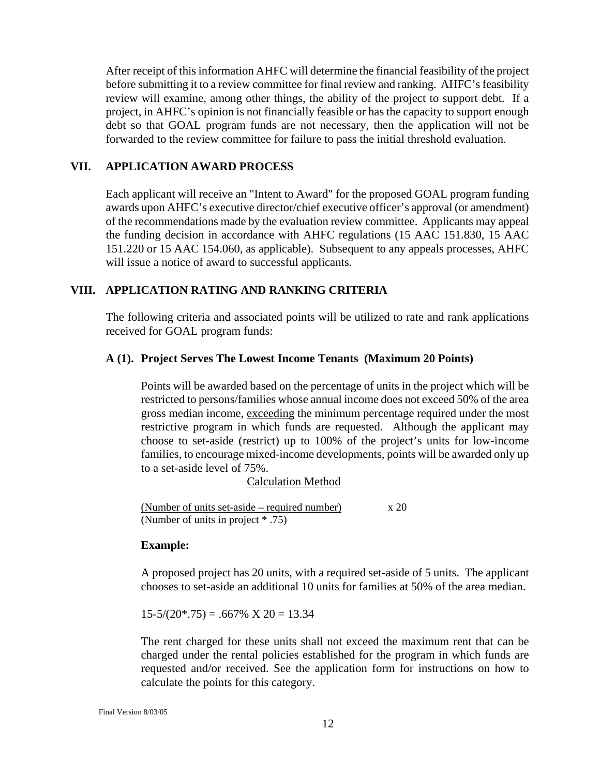<span id="page-11-0"></span>After receipt of this information AHFC will determine the financial feasibility of the project before submitting it to a review committee for final review and ranking. AHFC's feasibility review will examine, among other things, the ability of the project to support debt. If a project, in AHFC's opinion is not financially feasible or has the capacity to support enough debt so that GOAL program funds are not necessary, then the application will not be forwarded to the review committee for failure to pass the initial threshold evaluation.

#### **VII. APPLICATION AWARD PROCESS**

Each applicant will receive an "Intent to Award" for the proposed GOAL program funding awards upon AHFC's executive director/chief executive officer's approval (or amendment) of the recommendations made by the evaluation review committee. Applicants may appeal the funding decision in accordance with AHFC regulations (15 AAC 151.830, 15 AAC 151.220 or 15 AAC 154.060, as applicable). Subsequent to any appeals processes, AHFC will issue a notice of award to successful applicants.

## **VIII. APPLICATION RATING AND RANKING CRITERIA**

The following criteria and associated points will be utilized to rate and rank applications received for GOAL program funds:

#### **A (1). Project Serves The Lowest Income Tenants (Maximum 20 Points)**

Points will be awarded based on the percentage of units in the project which will be restricted to persons/families whose annual income does not exceed 50% of the area gross median income, exceeding the minimum percentage required under the most restrictive program in which funds are requested. Although the applicant may choose to set-aside (restrict) up to 100% of the project's units for low-income families, to encourage mixed-income developments, points will be awarded only up to a set-aside level of 75%.

#### Calculation Method

(Number of units set-aside – required number)  $x 20$ (Number of units in project \* .75)

#### **Example:**

A proposed project has 20 units, with a required set-aside of 5 units. The applicant chooses to set-aside an additional 10 units for families at 50% of the area median.

 $15-5/(20*.75) = .667\% \times 20 = 13.34$ 

The rent charged for these units shall not exceed the maximum rent that can be charged under the rental policies established for the program in which funds are requested and/or received. See the application form for instructions on how to calculate the points for this category.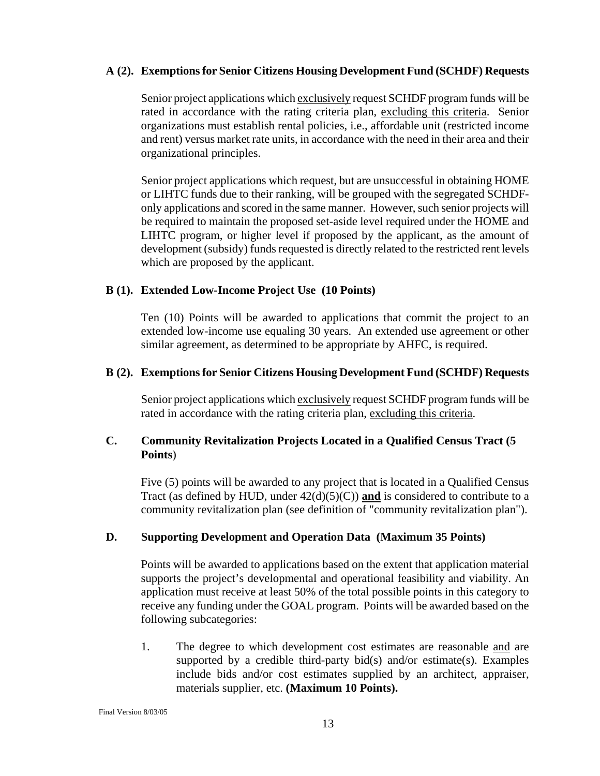#### <span id="page-12-0"></span>**A (2). Exemptions for Senior Citizens Housing Development Fund (SCHDF) Requests**

 Senior project applications which exclusively request SCHDF program funds will be rated in accordance with the rating criteria plan, excluding this criteria. Senior organizations must establish rental policies, i.e., affordable unit (restricted income and rent) versus market rate units, in accordance with the need in their area and their organizational principles.

Senior project applications which request, but are unsuccessful in obtaining HOME or LIHTC funds due to their ranking, will be grouped with the segregated SCHDFonly applications and scored in the same manner. However, such senior projects will be required to maintain the proposed set-aside level required under the HOME and LIHTC program, or higher level if proposed by the applicant, as the amount of development (subsidy) funds requested is directly related to the restricted rent levels which are proposed by the applicant.

## **B (1). Extended Low-Income Project Use (10 Points)**

Ten (10) Points will be awarded to applications that commit the project to an extended low-income use equaling 30 years. An extended use agreement or other similar agreement, as determined to be appropriate by AHFC, is required.

#### **B (2). Exemptions for Senior Citizens Housing Development Fund (SCHDF) Requests**

Senior project applications which exclusively request SCHDF program funds will be rated in accordance with the rating criteria plan, excluding this criteria.

## **C. Community Revitalization Projects Located in a Qualified Census Tract (5 Points**)

Five (5) points will be awarded to any project that is located in a Qualified Census Tract (as defined by HUD, under  $42(d)(5)(C)$ ) and is considered to contribute to a community revitalization plan (see definition of "community revitalization plan").

## **D. Supporting Development and Operation Data (Maximum 35 Points)**

Points will be awarded to applications based on the extent that application material supports the project's developmental and operational feasibility and viability. An application must receive at least 50% of the total possible points in this category to receive any funding under the GOAL program. Points will be awarded based on the following subcategories:

1. The degree to which development cost estimates are reasonable and are supported by a credible third-party bid $(s)$  and/or estimate $(s)$ . Examples include bids and/or cost estimates supplied by an architect, appraiser, materials supplier, etc. **(Maximum 10 Points).**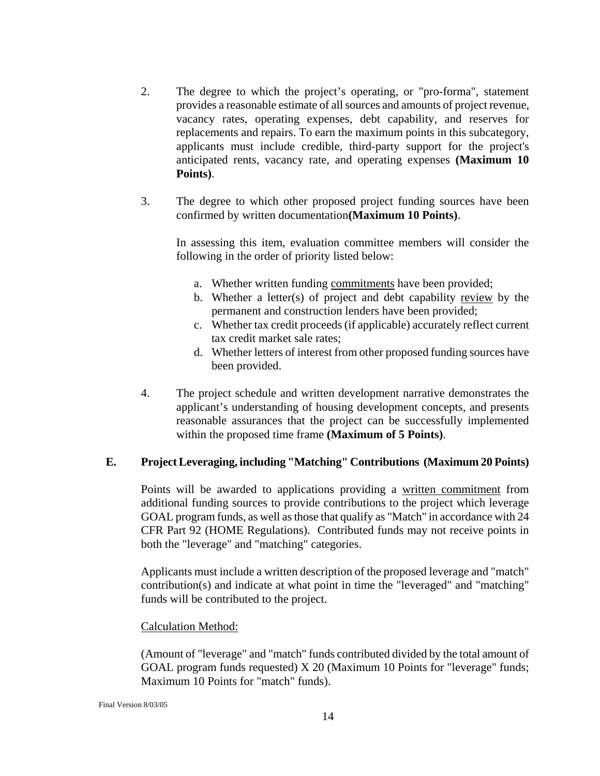- <span id="page-13-0"></span>2. The degree to which the project's operating, or "pro-forma", statement provides a reasonable estimate of all sources and amounts of project revenue, vacancy rates, operating expenses, debt capability, and reserves for replacements and repairs. To earn the maximum points in this subcategory, applicants must include credible, third-party support for the project's anticipated rents, vacancy rate, and operating expenses **(Maximum 10 Points)**.
- 3. The degree to which other proposed project funding sources have been confirmed by written documentation**(Maximum 10 Points)**.

In assessing this item, evaluation committee members will consider the following in the order of priority listed below:

- a. Whether written funding commitments have been provided;
- b. Whether a letter(s) of project and debt capability review by the permanent and construction lenders have been provided;
- c. Whether tax credit proceeds (if applicable) accurately reflect current tax credit market sale rates;
- d. Whether letters of interest from other proposed funding sources have been provided.
- 4. The project schedule and written development narrative demonstrates the applicant's understanding of housing development concepts, and presents reasonable assurances that the project can be successfully implemented within the proposed time frame **(Maximum of 5 Points)**.

#### **E. Project Leveraging, including "Matching" Contributions (Maximum 20 Points)**

Points will be awarded to applications providing a written commitment from additional funding sources to provide contributions to the project which leverage GOAL program funds, as well as those that qualify as "Match" in accordance with 24 CFR Part 92 (HOME Regulations). Contributed funds may not receive points in both the "leverage" and "matching" categories.

Applicants must include a written description of the proposed leverage and "match" contribution(s) and indicate at what point in time the "leveraged" and "matching" funds will be contributed to the project.

#### Calculation Method:

(Amount of "leverage" and "match" funds contributed divided by the total amount of GOAL program funds requested) X 20 (Maximum 10 Points for "leverage" funds; Maximum 10 Points for "match" funds).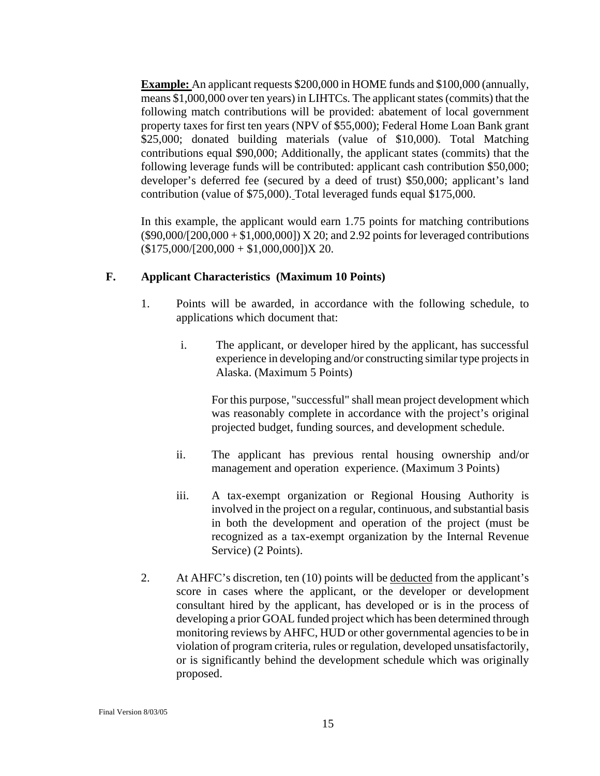<span id="page-14-0"></span>**Example:** An applicant requests \$200,000 in HOME funds and \$100,000 (annually, means \$1,000,000 over ten years) in LIHTCs. The applicant states (commits) that the following match contributions will be provided: abatement of local government property taxes for first ten years (NPV of \$55,000); Federal Home Loan Bank grant \$25,000; donated building materials (value of \$10,000). Total Matching contributions equal \$90,000; Additionally, the applicant states (commits) that the following leverage funds will be contributed: applicant cash contribution \$50,000; developer's deferred fee (secured by a deed of trust) \$50,000; applicant's land contribution (value of \$75,000). Total leveraged funds equal \$175,000.

In this example, the applicant would earn 1.75 points for matching contributions  $($90,000/[200,000 + $1,000,000])$  X 20; and 2.92 points for leveraged contributions  $($175,000/[200,000 + $1,000,000])X 20.$ 

#### **F. Applicant Characteristics (Maximum 10 Points)**

- 1. Points will be awarded, in accordance with the following schedule, to applications which document that:
	- i. The applicant, or developer hired by the applicant, has successful experience in developing and/or constructing similar type projects in Alaska. (Maximum 5 Points)

For this purpose, "successful" shall mean project development which was reasonably complete in accordance with the project's original projected budget, funding sources, and development schedule.

- ii. The applicant has previous rental housing ownership and/or management and operation experience. (Maximum 3 Points)
- iii. A tax-exempt organization or Regional Housing Authority is involved in the project on a regular, continuous, and substantial basis in both the development and operation of the project (must be recognized as a tax-exempt organization by the Internal Revenue Service) (2 Points).
- 2. At AHFC's discretion, ten (10) points will be deducted from the applicant's score in cases where the applicant, or the developer or development consultant hired by the applicant, has developed or is in the process of developing a prior GOAL funded project which has been determined through monitoring reviews by AHFC, HUD or other governmental agencies to be in violation of program criteria, rules or regulation, developed unsatisfactorily, or is significantly behind the development schedule which was originally proposed.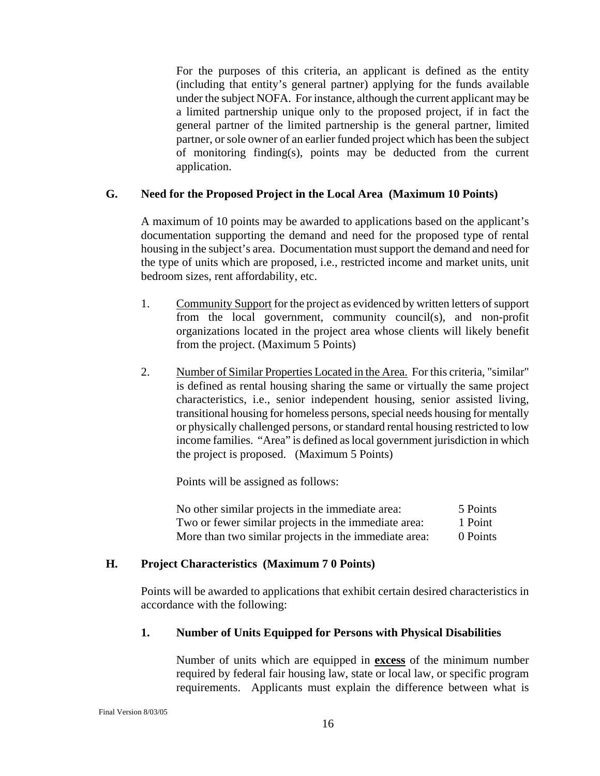<span id="page-15-0"></span> For the purposes of this criteria, an applicant is defined as the entity (including that entity's general partner) applying for the funds available under the subject NOFA. For instance, although the current applicant may be a limited partnership unique only to the proposed project, if in fact the general partner of the limited partnership is the general partner, limited partner, or sole owner of an earlier funded project which has been the subject of monitoring finding(s), points may be deducted from the current application.

#### **G. Need for the Proposed Project in the Local Area (Maximum 10 Points)**

A maximum of 10 points may be awarded to applications based on the applicant's documentation supporting the demand and need for the proposed type of rental housing in the subject's area. Documentation must support the demand and need for the type of units which are proposed, i.e., restricted income and market units, unit bedroom sizes, rent affordability, etc.

- 1. Community Support for the project as evidenced by written letters of support from the local government, community council(s), and non-profit organizations located in the project area whose clients will likely benefit from the project. (Maximum 5 Points)
- 2. Number of Similar Properties Located in the Area. For this criteria, "similar" is defined as rental housing sharing the same or virtually the same project characteristics, i.e., senior independent housing, senior assisted living, transitional housing for homeless persons, special needs housing for mentally or physically challenged persons, or standard rental housing restricted to low income families. "Area" is defined as local government jurisdiction in which the project is proposed. (Maximum 5 Points)

Points will be assigned as follows:

| No other similar projects in the immediate area:      | 5 Points |
|-------------------------------------------------------|----------|
| Two or fewer similar projects in the immediate area:  | 1 Point  |
| More than two similar projects in the immediate area: | 0 Points |

## **H. Project Characteristics (Maximum 7 0 Points)**

Points will be awarded to applications that exhibit certain desired characteristics in accordance with the following:

## **1. Number of Units Equipped for Persons with Physical Disabilities**

Number of units which are equipped in **excess** of the minimum number required by federal fair housing law, state or local law, or specific program requirements. Applicants must explain the difference between what is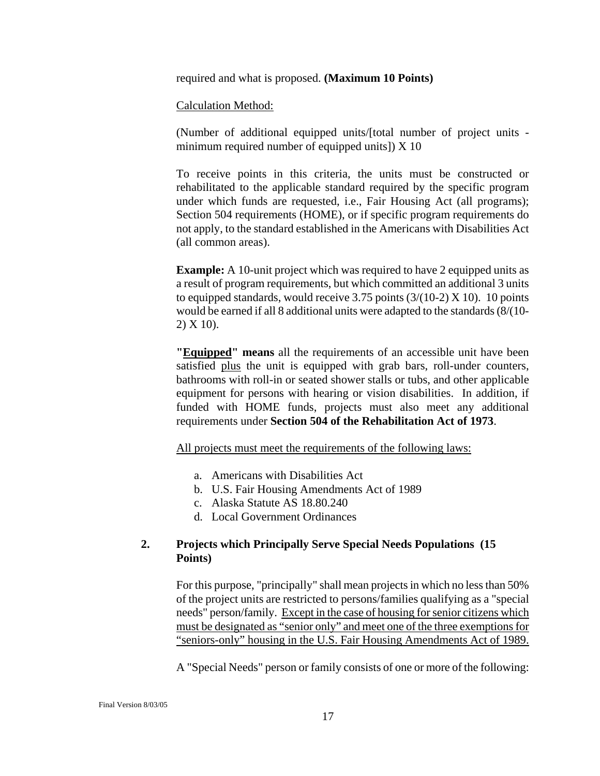<span id="page-16-0"></span>required and what is proposed. **(Maximum 10 Points)**

#### Calculation Method:

(Number of additional equipped units/[total number of project units minimum required number of equipped units]) X 10

 To receive points in this criteria, the units must be constructed or rehabilitated to the applicable standard required by the specific program under which funds are requested, i.e., Fair Housing Act (all programs); Section 504 requirements (HOME), or if specific program requirements do not apply, to the standard established in the Americans with Disabilities Act (all common areas).

**Example:** A 10-unit project which was required to have 2 equipped units as a result of program requirements, but which committed an additional 3 units to equipped standards, would receive 3.75 points  $(3/(10-2) \times 10)$ . 10 points would be earned if all 8 additional units were adapted to the standards (8/(10- 2) X 10).

**"Equipped" means** all the requirements of an accessible unit have been satisfied plus the unit is equipped with grab bars, roll-under counters, bathrooms with roll-in or seated shower stalls or tubs, and other applicable equipment for persons with hearing or vision disabilities. In addition, if funded with HOME funds, projects must also meet any additional requirements under **Section 504 of the Rehabilitation Act of 1973**.

All projects must meet the requirements of the following laws:

- a. Americans with Disabilities Act
- b. U.S. Fair Housing Amendments Act of 1989
- c. Alaska Statute AS 18.80.240
- d. Local Government Ordinances

#### **2. Projects which Principally Serve Special Needs Populations (15 Points)**

For this purpose, "principally" shall mean projects in which no less than 50% of the project units are restricted to persons/families qualifying as a "special needs" person/family. Except in the case of housing for senior citizens which must be designated as "senior only" and meet one of the three exemptions for "seniors-only" housing in the U.S. Fair Housing Amendments Act of 1989.

A "Special Needs" person or family consists of one or more of the following: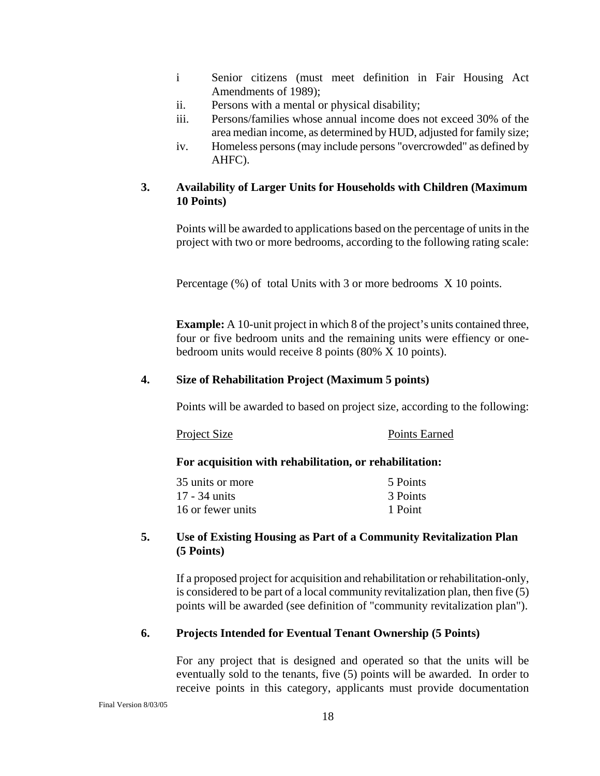- <span id="page-17-0"></span>i Senior citizens (must meet definition in Fair Housing Act Amendments of 1989);
- ii. Persons with a mental or physical disability;
- iii. Persons/families whose annual income does not exceed 30% of the area median income, as determined by HUD, adjusted for family size;
- iv. Homeless persons (may include persons "overcrowded" as defined by AHFC).

#### **3. Availability of Larger Units for Households with Children (Maximum 10 Points)**

Points will be awarded to applications based on the percentage of units in the project with two or more bedrooms, according to the following rating scale:

Percentage (%) of total Units with 3 or more bedrooms X 10 points.

**Example:** A 10-unit project in which 8 of the project's units contained three, four or five bedroom units and the remaining units were effiency or onebedroom units would receive 8 points (80% X 10 points).

#### **4. Size of Rehabilitation Project (Maximum 5 points)**

Points will be awarded to based on project size, according to the following:

| Project Size | Points Earned |
|--------------|---------------|
|--------------|---------------|

#### **For acquisition with rehabilitation, or rehabilitation:**

| 35 units or more  | 5 Points |
|-------------------|----------|
| 17 - 34 units     | 3 Points |
| 16 or fewer units | 1 Point  |

#### **5. Use of Existing Housing as Part of a Community Revitalization Plan (5 Points)**

If a proposed project for acquisition and rehabilitation or rehabilitation-only, is considered to be part of a local community revitalization plan, then five (5) points will be awarded (see definition of "community revitalization plan").

#### **6. Projects Intended for Eventual Tenant Ownership (5 Points)**

For any project that is designed and operated so that the units will be eventually sold to the tenants, five (5) points will be awarded. In order to receive points in this category, applicants must provide documentation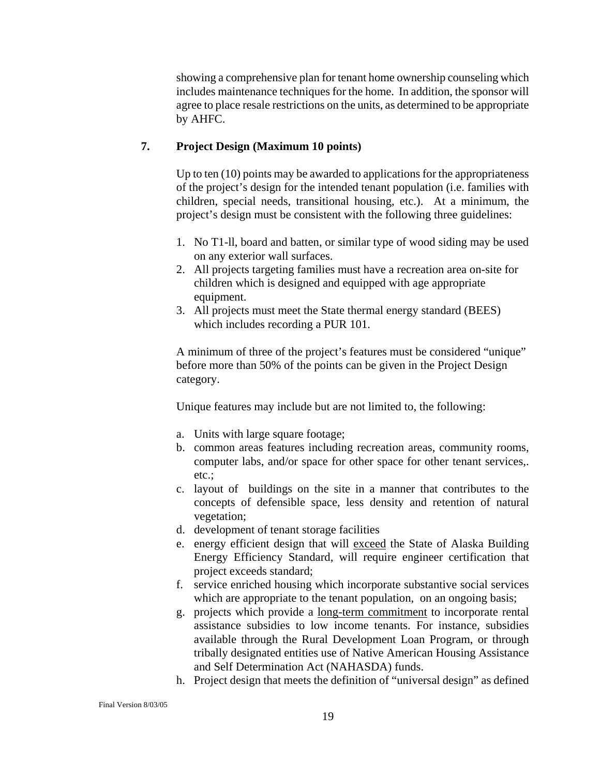<span id="page-18-0"></span>showing a comprehensive plan for tenant home ownership counseling which includes maintenance techniques for the home. In addition, the sponsor will agree to place resale restrictions on the units, as determined to be appropriate by AHFC.

#### **7. Project Design (Maximum 10 points)**

Up to ten (10) points may be awarded to applications for the appropriateness of the project's design for the intended tenant population (i.e. families with children, special needs, transitional housing, etc.). At a minimum, the project's design must be consistent with the following three guidelines:

- 1. No T1-ll, board and batten, or similar type of wood siding may be used on any exterior wall surfaces.
- 2. All projects targeting families must have a recreation area on-site for children which is designed and equipped with age appropriate equipment.
- 3. All projects must meet the State thermal energy standard (BEES) which includes recording a PUR 101.

A minimum of three of the project's features must be considered "unique" before more than 50% of the points can be given in the Project Design category.

Unique features may include but are not limited to, the following:

- a. Units with large square footage;
- b. common areas features including recreation areas, community rooms, computer labs, and/or space for other space for other tenant services,. etc.;
- c. layout of buildings on the site in a manner that contributes to the concepts of defensible space, less density and retention of natural vegetation;
- d. development of tenant storage facilities
- e. energy efficient design that will exceed the State of Alaska Building Energy Efficiency Standard, will require engineer certification that project exceeds standard;
- f. service enriched housing which incorporate substantive social services which are appropriate to the tenant population, on an ongoing basis;
- g. projects which provide a long-term commitment to incorporate rental assistance subsidies to low income tenants. For instance, subsidies available through the Rural Development Loan Program, or through tribally designated entities use of Native American Housing Assistance and Self Determination Act (NAHASDA) funds.
- h. Project design that meets the definition of "universal design" as defined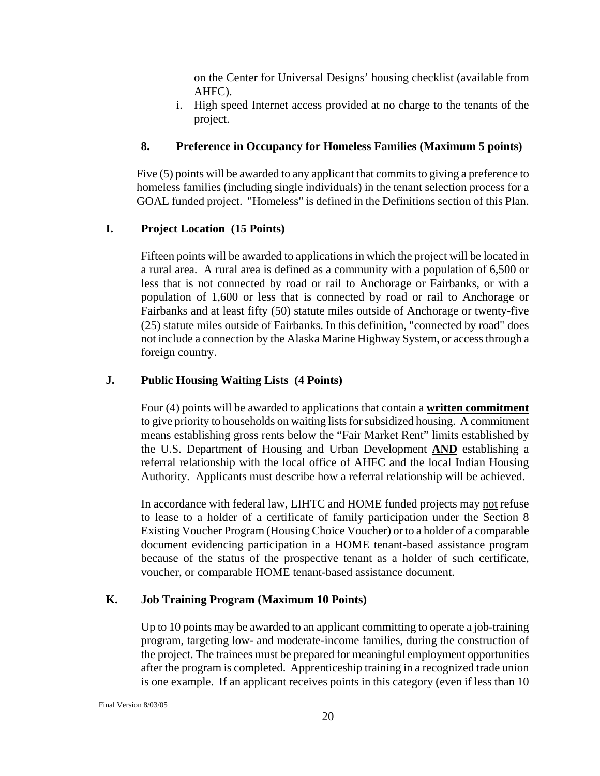on the Center for Universal Designs' housing checklist (available from AHFC).

i. High speed Internet access provided at no charge to the tenants of the project.

## <span id="page-19-0"></span>**8. Preference in Occupancy for Homeless Families (Maximum 5 points)**

Five (5) points will be awarded to any applicant that commits to giving a preference to homeless families (including single individuals) in the tenant selection process for a GOAL funded project. "Homeless" is defined in the Definitions section of this Plan.

## **I. Project Location (15 Points)**

Fifteen points will be awarded to applications in which the project will be located in a rural area. A rural area is defined as a community with a population of 6,500 or less that is not connected by road or rail to Anchorage or Fairbanks, or with a population of 1,600 or less that is connected by road or rail to Anchorage or Fairbanks and at least fifty (50) statute miles outside of Anchorage or twenty-five (25) statute miles outside of Fairbanks. In this definition, "connected by road" does not include a connection by the Alaska Marine Highway System, or access through a foreign country.

## **J. Public Housing Waiting Lists (4 Points)**

Four (4) points will be awarded to applications that contain a **written commitment** to give priority to households on waiting lists for subsidized housing. A commitment means establishing gross rents below the "Fair Market Rent" limits established by the U.S. Department of Housing and Urban Development **AND** establishing a referral relationship with the local office of AHFC and the local Indian Housing Authority. Applicants must describe how a referral relationship will be achieved.

In accordance with federal law, LIHTC and HOME funded projects may not refuse to lease to a holder of a certificate of family participation under the Section 8 Existing Voucher Program (Housing Choice Voucher) or to a holder of a comparable document evidencing participation in a HOME tenant-based assistance program because of the status of the prospective tenant as a holder of such certificate, voucher, or comparable HOME tenant-based assistance document.

## **K. Job Training Program (Maximum 10 Points)**

Up to 10 points may be awarded to an applicant committing to operate a job-training program, targeting low- and moderate-income families, during the construction of the project. The trainees must be prepared for meaningful employment opportunities after the program is completed. Apprenticeship training in a recognized trade union is one example. If an applicant receives points in this category (even if less than 10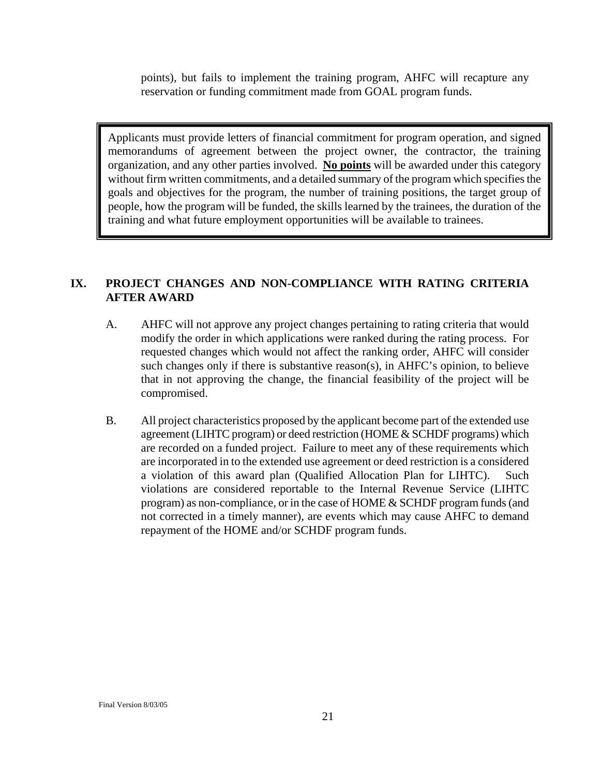<span id="page-20-0"></span>points), but fails to implement the training program, AHFC will recapture any reservation or funding commitment made from GOAL program funds.

Applicants must provide letters of financial commitment for program operation, and signed memorandums of agreement between the project owner, the contractor, the training organization, and any other parties involved. **No points** will be awarded under this category without firm written commitments, and a detailed summary of the program which specifies the goals and objectives for the program, the number of training positions, the target group of people, how the program will be funded, the skills learned by the trainees, the duration of the training and what future employment opportunities will be available to trainees.

## **IX. PROJECT CHANGES AND NON-COMPLIANCE WITH RATING CRITERIA AFTER AWARD**

- A. AHFC will not approve any project changes pertaining to rating criteria that would modify the order in which applications were ranked during the rating process. For requested changes which would not affect the ranking order, AHFC will consider such changes only if there is substantive reason(s), in AHFC's opinion, to believe that in not approving the change, the financial feasibility of the project will be compromised.
- B. All project characteristics proposed by the applicant become part of the extended use agreement (LIHTC program) or deed restriction (HOME & SCHDF programs) which are recorded on a funded project. Failure to meet any of these requirements which are incorporated in to the extended use agreement or deed restriction is a considered a violation of this award plan (Qualified Allocation Plan for LIHTC). Such violations are considered reportable to the Internal Revenue Service (LIHTC program) as non-compliance, or in the case of HOME & SCHDF program funds (and not corrected in a timely manner), are events which may cause AHFC to demand repayment of the HOME and/or SCHDF program funds.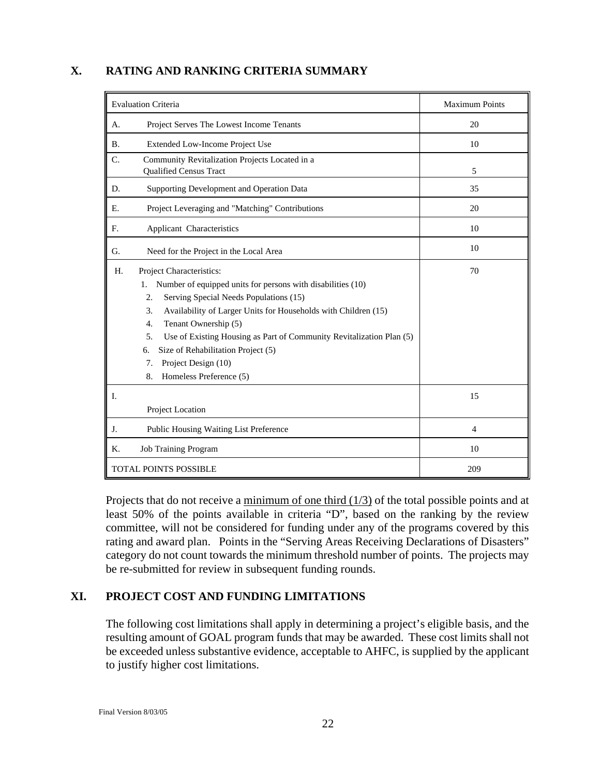#### <span id="page-21-0"></span>**X. RATING AND RANKING CRITERIA SUMMARY**

| <b>Evaluation Criteria</b>                                                                                                                                                                                                                                                                                                                                                                                                                                      | <b>Maximum Points</b> |
|-----------------------------------------------------------------------------------------------------------------------------------------------------------------------------------------------------------------------------------------------------------------------------------------------------------------------------------------------------------------------------------------------------------------------------------------------------------------|-----------------------|
| Project Serves The Lowest Income Tenants<br>А.                                                                                                                                                                                                                                                                                                                                                                                                                  | 20                    |
| Extended Low-Income Project Use<br><b>B.</b>                                                                                                                                                                                                                                                                                                                                                                                                                    | 10                    |
| C.<br>Community Revitalization Projects Located in a<br><b>Qualified Census Tract</b>                                                                                                                                                                                                                                                                                                                                                                           | 5                     |
| D.<br>Supporting Development and Operation Data                                                                                                                                                                                                                                                                                                                                                                                                                 | 35                    |
| Project Leveraging and "Matching" Contributions<br>Е.                                                                                                                                                                                                                                                                                                                                                                                                           | 20                    |
| F.<br>Applicant Characteristics                                                                                                                                                                                                                                                                                                                                                                                                                                 | 10                    |
| G.<br>Need for the Project in the Local Area                                                                                                                                                                                                                                                                                                                                                                                                                    | 10                    |
| Project Characteristics:<br>H.<br>Number of equipped units for persons with disabilities (10)<br>1.<br>Serving Special Needs Populations (15)<br>2.<br>3.<br>Availability of Larger Units for Households with Children (15)<br>Tenant Ownership (5)<br>$\overline{4}$ .<br>5.<br>Use of Existing Housing as Part of Community Revitalization Plan (5)<br>Size of Rehabilitation Project (5)<br>6.<br>Project Design (10)<br>7.<br>Homeless Preference (5)<br>8. | 70                    |
| I.<br>Project Location                                                                                                                                                                                                                                                                                                                                                                                                                                          | 15                    |
| J.<br>Public Housing Waiting List Preference                                                                                                                                                                                                                                                                                                                                                                                                                    | $\overline{4}$        |
| Κ.<br><b>Job Training Program</b>                                                                                                                                                                                                                                                                                                                                                                                                                               | 10                    |
| <b>TOTAL POINTS POSSIBLE</b>                                                                                                                                                                                                                                                                                                                                                                                                                                    | 209                   |

Projects that do not receive a minimum of one third  $(1/3)$  of the total possible points and at least 50% of the points available in criteria "D", based on the ranking by the review committee, will not be considered for funding under any of the programs covered by this rating and award plan. Points in the "Serving Areas Receiving Declarations of Disasters" category do not count towards the minimum threshold number of points. The projects may be re-submitted for review in subsequent funding rounds.

## **XI. PROJECT COST AND FUNDING LIMITATIONS**

The following cost limitations shall apply in determining a project's eligible basis, and the resulting amount of GOAL program funds that may be awarded. These cost limits shall not be exceeded unless substantive evidence, acceptable to AHFC, is supplied by the applicant to justify higher cost limitations.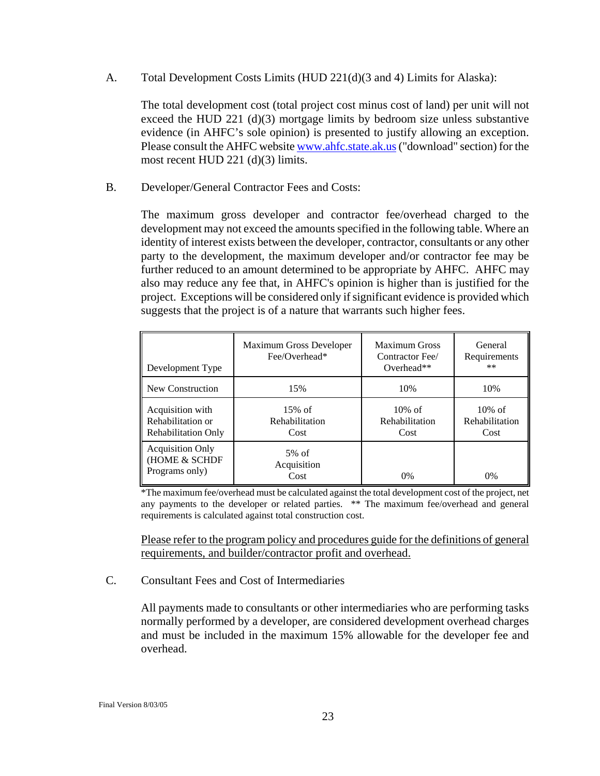<span id="page-22-0"></span>A. Total Development Costs Limits (HUD 221(d)(3 and 4) Limits for Alaska):

The total development cost (total project cost minus cost of land) per unit will not exceed the HUD 221 (d)(3) mortgage limits by bedroom size unless substantive evidence (in AHFC's sole opinion) is presented to justify allowing an exception. Please consult the AHFC website [www.ahfc.state.ak.us](http://www.ahfc.state.ak.us/) ("download" section) for the most recent HUD 221 (d)(3) limits.

B. Developer/General Contractor Fees and Costs:

The maximum gross developer and contractor fee/overhead charged to the development may not exceed the amounts specified in the following table. Where an identity of interest exists between the developer, contractor, consultants or any other party to the development, the maximum developer and/or contractor fee may be further reduced to an amount determined to be appropriate by AHFC. AHFC may also may reduce any fee that, in AHFC's opinion is higher than is justified for the project. Exceptions will be considered only if significant evidence is provided which suggests that the project is of a nature that warrants such higher fees.

| Development Type                                                    | Maximum Gross Developer<br>Fee/Overhead* | <b>Maximum Gross</b><br>Contractor Fee/<br>Overhead** | General<br>Requirements<br>$***$    |
|---------------------------------------------------------------------|------------------------------------------|-------------------------------------------------------|-------------------------------------|
| New Construction                                                    | 15%                                      | 10%                                                   | 10%                                 |
| Acquisition with<br>Rehabilitation or<br><b>Rehabilitation Only</b> | $15\%$ of<br>Rehabilitation<br>Cost      | $10\%$ of<br>Rehabilitation<br>Cost                   | $10\%$ of<br>Rehabilitation<br>Cost |
| <b>Acquisition Only</b><br>(HOME & SCHDF<br>Programs only)          | $5%$ of<br>Acquisition<br>Cost           | 0%                                                    | $0\%$                               |

\*The maximum fee/overhead must be calculated against the total development cost of the project, net any payments to the developer or related parties. \*\* The maximum fee/overhead and general requirements is calculated against total construction cost.

Please refer to the program policy and procedures guide for the definitions of general requirements, and builder/contractor profit and overhead.

#### C. Consultant Fees and Cost of Intermediaries

All payments made to consultants or other intermediaries who are performing tasks normally performed by a developer, are considered development overhead charges and must be included in the maximum 15% allowable for the developer fee and overhead.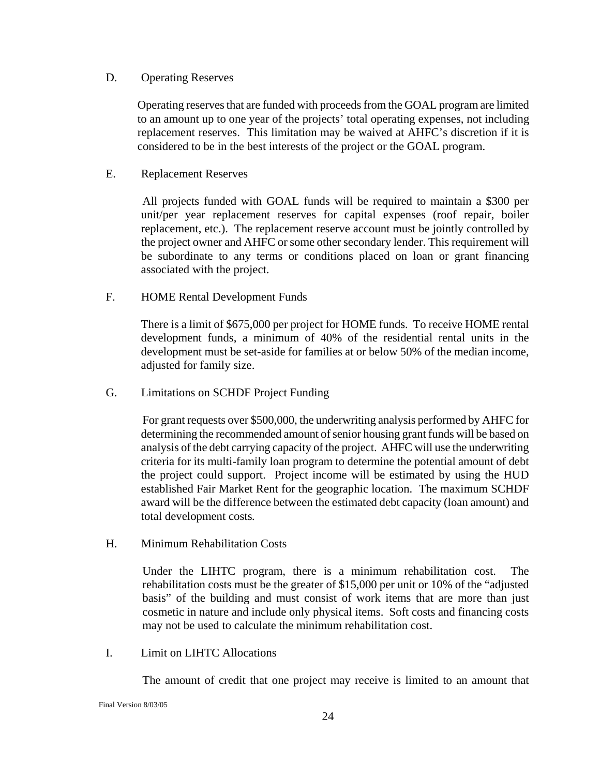#### <span id="page-23-0"></span>D. Operating Reserves

Operating reserves that are funded with proceeds from the GOAL program are limited to an amount up to one year of the projects' total operating expenses, not including replacement reserves. This limitation may be waived at AHFC's discretion if it is considered to be in the best interests of the project or the GOAL program.

#### E. Replacement Reserves

 All projects funded with GOAL funds will be required to maintain a \$300 per unit/per year replacement reserves for capital expenses (roof repair, boiler replacement, etc.). The replacement reserve account must be jointly controlled by the project owner and AHFC or some other secondary lender. This requirement will be subordinate to any terms or conditions placed on loan or grant financing associated with the project.

F. HOME Rental Development Funds

 There is a limit of \$675,000 per project for HOME funds. To receive HOME rental development funds, a minimum of 40% of the residential rental units in the development must be set-aside for families at or below 50% of the median income, adjusted for family size.

G. Limitations on SCHDF Project Funding

 For grant requests over \$500,000, the underwriting analysis performed by AHFC for determining the recommended amount of senior housing grant funds will be based on analysis of the debt carrying capacity of the project. AHFC will use the underwriting criteria for its multi-family loan program to determine the potential amount of debt the project could support. Project income will be estimated by using the HUD established Fair Market Rent for the geographic location. The maximum SCHDF award will be the difference between the estimated debt capacity (loan amount) and total development costs*.* 

H. Minimum Rehabilitation Costs

Under the LIHTC program, there is a minimum rehabilitation cost. The rehabilitation costs must be the greater of \$15,000 per unit or 10% of the "adjusted basis" of the building and must consist of work items that are more than just cosmetic in nature and include only physical items. Soft costs and financing costs may not be used to calculate the minimum rehabilitation cost.

I. Limit on LIHTC Allocations

The amount of credit that one project may receive is limited to an amount that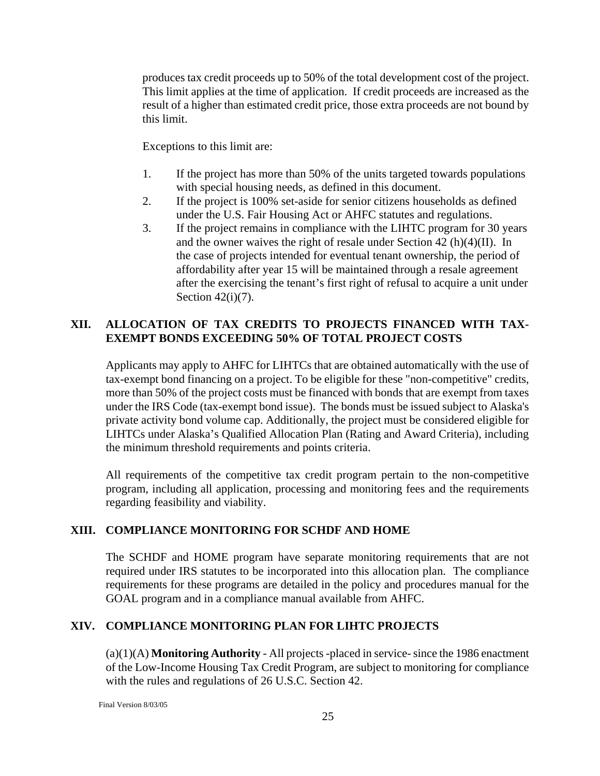<span id="page-24-0"></span>produces tax credit proceeds up to 50% of the total development cost of the project. This limit applies at the time of application. If credit proceeds are increased as the result of a higher than estimated credit price, those extra proceeds are not bound by this limit.

Exceptions to this limit are:

- 1. If the project has more than 50% of the units targeted towards populations with special housing needs, as defined in this document.
- 2. If the project is 100% set-aside for senior citizens households as defined under the U.S. Fair Housing Act or AHFC statutes and regulations.
- 3. If the project remains in compliance with the LIHTC program for 30 years and the owner waives the right of resale under Section 42 (h)(4)(II). In the case of projects intended for eventual tenant ownership, the period of affordability after year 15 will be maintained through a resale agreement after the exercising the tenant's first right of refusal to acquire a unit under Section  $42(i)(7)$ .

## **XII. ALLOCATION OF TAX CREDITS TO PROJECTS FINANCED WITH TAX-EXEMPT BONDS EXCEEDING 50% OF TOTAL PROJECT COSTS**

Applicants may apply to AHFC for LIHTCs that are obtained automatically with the use of tax-exempt bond financing on a project. To be eligible for these "non-competitive" credits, more than 50% of the project costs must be financed with bonds that are exempt from taxes under the IRS Code (tax-exempt bond issue). The bonds must be issued subject to Alaska's private activity bond volume cap. Additionally, the project must be considered eligible for LIHTCs under Alaska's Qualified Allocation Plan (Rating and Award Criteria), including the minimum threshold requirements and points criteria.

All requirements of the competitive tax credit program pertain to the non-competitive program, including all application, processing and monitoring fees and the requirements regarding feasibility and viability.

## **XIII. COMPLIANCE MONITORING FOR SCHDF AND HOME**

The SCHDF and HOME program have separate monitoring requirements that are not required under IRS statutes to be incorporated into this allocation plan. The compliance requirements for these programs are detailed in the policy and procedures manual for the GOAL program and in a compliance manual available from AHFC.

## **XIV. COMPLIANCE MONITORING PLAN FOR LIHTC PROJECTS**

(a)(1)(A) **Monitoring Authority** - All projects -placed in service- since the 1986 enactment of the Low-Income Housing Tax Credit Program, are subject to monitoring for compliance with the rules and regulations of 26 U.S.C. Section 42.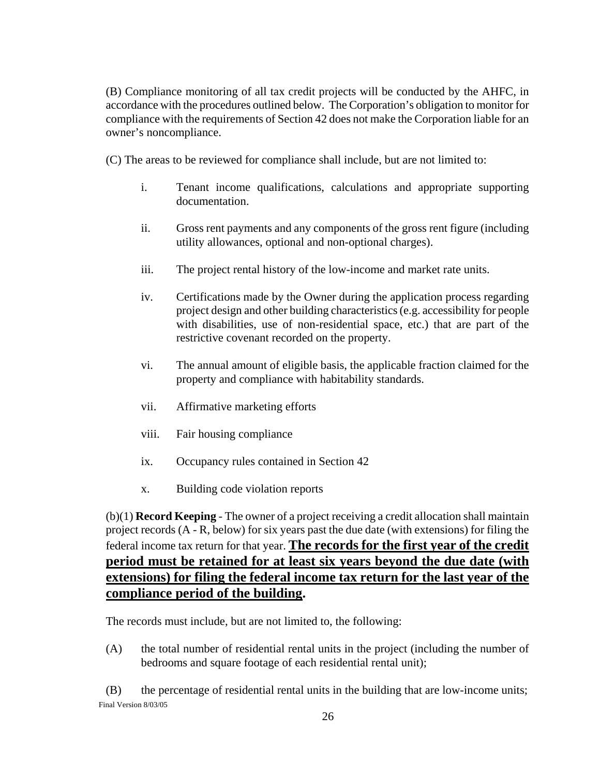(B) Compliance monitoring of all tax credit projects will be conducted by the AHFC, in accordance with the procedures outlined below. The Corporation's obligation to monitor for compliance with the requirements of Section 42 does not make the Corporation liable for an owner's noncompliance.

(C) The areas to be reviewed for compliance shall include, but are not limited to:

- i. Tenant income qualifications, calculations and appropriate supporting documentation.
- ii. Gross rent payments and any components of the gross rent figure (including utility allowances, optional and non-optional charges).
- iii. The project rental history of the low-income and market rate units.
- iv. Certifications made by the Owner during the application process regarding project design and other building characteristics (e.g. accessibility for people with disabilities, use of non-residential space, etc.) that are part of the restrictive covenant recorded on the property.
- vi. The annual amount of eligible basis, the applicable fraction claimed for the property and compliance with habitability standards.
- vii. Affirmative marketing efforts
- viii. Fair housing compliance
- ix. Occupancy rules contained in Section 42
- x. Building code violation reports

(b)(1) **Record Keeping** - The owner of a project receiving a credit allocation shall maintain project records (A - R, below) for six years past the due date (with extensions) for filing the federal income tax return for that year. **The records for the first year of the credit period must be retained for at least six years beyond the due date (with extensions) for filing the federal income tax return for the last year of the compliance period of the building.**

The records must include, but are not limited to, the following:

(A) the total number of residential rental units in the project (including the number of bedrooms and square footage of each residential rental unit);

Final Version 8/03/05 (B) the percentage of residential rental units in the building that are low-income units;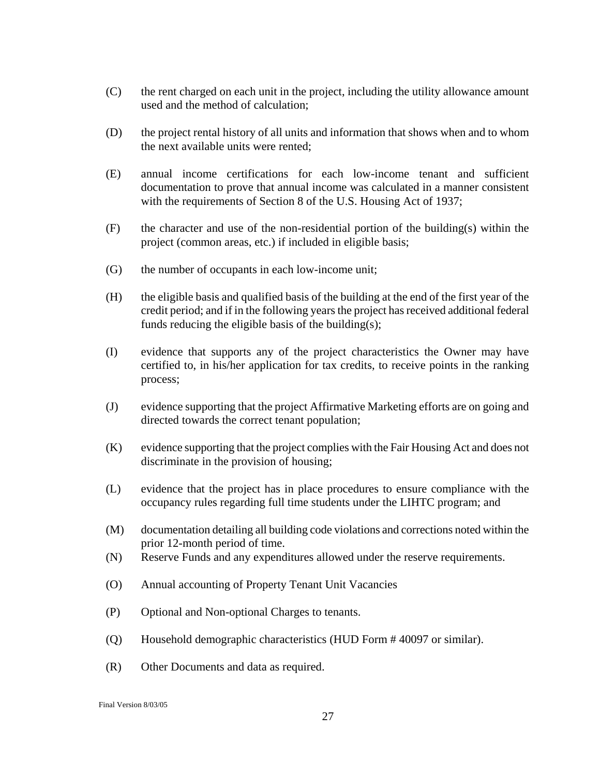- (C) the rent charged on each unit in the project, including the utility allowance amount used and the method of calculation;
- (D) the project rental history of all units and information that shows when and to whom the next available units were rented;
- (E) annual income certifications for each low-income tenant and sufficient documentation to prove that annual income was calculated in a manner consistent with the requirements of Section 8 of the U.S. Housing Act of 1937;
- (F) the character and use of the non-residential portion of the building(s) within the project (common areas, etc.) if included in eligible basis;
- (G) the number of occupants in each low-income unit;
- (H) the eligible basis and qualified basis of the building at the end of the first year of the credit period; and if in the following years the project has received additional federal funds reducing the eligible basis of the building(s);
- (I) evidence that supports any of the project characteristics the Owner may have certified to, in his/her application for tax credits, to receive points in the ranking process;
- (J) evidence supporting that the project Affirmative Marketing efforts are on going and directed towards the correct tenant population;
- (K) evidence supporting that the project complies with the Fair Housing Act and does not discriminate in the provision of housing;
- (L) evidence that the project has in place procedures to ensure compliance with the occupancy rules regarding full time students under the LIHTC program; and
- (M) documentation detailing all building code violations and corrections noted within the prior 12-month period of time.
- (N) Reserve Funds and any expenditures allowed under the reserve requirements.
- (O) Annual accounting of Property Tenant Unit Vacancies
- (P) Optional and Non-optional Charges to tenants.
- (Q) Household demographic characteristics (HUD Form # 40097 or similar).
- (R) Other Documents and data as required.

Final Version 8/03/05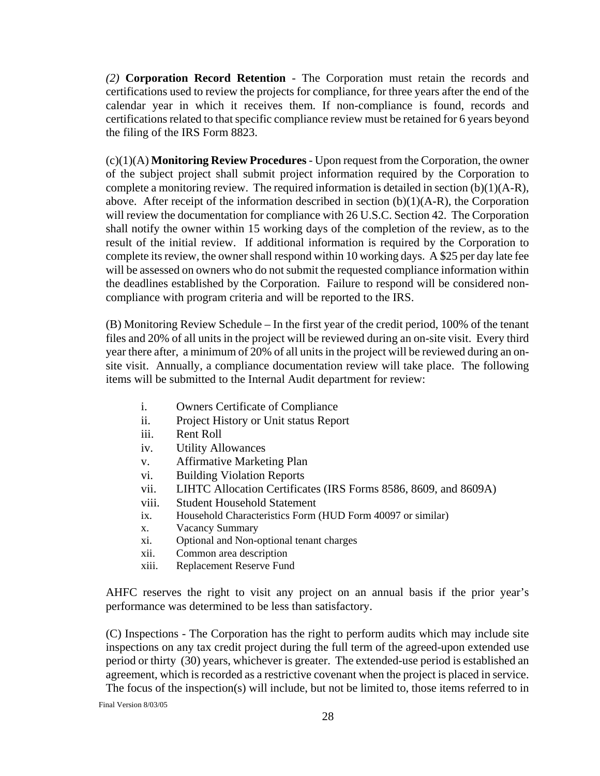*(2)* **Corporation Record Retention** - The Corporation must retain the records and certifications used to review the projects for compliance, for three years after the end of the calendar year in which it receives them. If non-compliance is found, records and certifications related to that specific compliance review must be retained for 6 years beyond the filing of the IRS Form 8823.

(c)(1)(A) **Monitoring Review Procedures** - Upon request from the Corporation, the owner of the subject project shall submit project information required by the Corporation to complete a monitoring review. The required information is detailed in section (b)(1)(A-R), above. After receipt of the information described in section  $(b)(1)(A-R)$ , the Corporation will review the documentation for compliance with 26 U.S.C. Section 42. The Corporation shall notify the owner within 15 working days of the completion of the review, as to the result of the initial review. If additional information is required by the Corporation to complete its review, the owner shall respond within 10 working days. A \$25 per day late fee will be assessed on owners who do not submit the requested compliance information within the deadlines established by the Corporation. Failure to respond will be considered noncompliance with program criteria and will be reported to the IRS.

(B) Monitoring Review Schedule – In the first year of the credit period, 100% of the tenant files and 20% of all units in the project will be reviewed during an on-site visit. Every third year there after, a minimum of 20% of all units in the project will be reviewed during an onsite visit. Annually, a compliance documentation review will take place. The following items will be submitted to the Internal Audit department for review:

- i. Owners Certificate of Compliance
- ii. Project History or Unit status Report
- iii. Rent Roll
- iv. Utility Allowances
- v. Affirmative Marketing Plan
- vi. Building Violation Reports
- vii. LIHTC Allocation Certificates (IRS Forms 8586, 8609, and 8609A)
- viii. Student Household Statement
- ix. Household Characteristics Form (HUD Form 40097 or similar)
- x. Vacancy Summary
- xi. Optional and Non-optional tenant charges
- xii. Common area description
- xiii. Replacement Reserve Fund

AHFC reserves the right to visit any project on an annual basis if the prior year's performance was determined to be less than satisfactory.

(C) Inspections - The Corporation has the right to perform audits which may include site inspections on any tax credit project during the full term of the agreed-upon extended use period or thirty (30) years, whichever is greater. The extended-use period is established an agreement, which is recorded as a restrictive covenant when the project is placed in service. The focus of the inspection(s) will include, but not be limited to, those items referred to in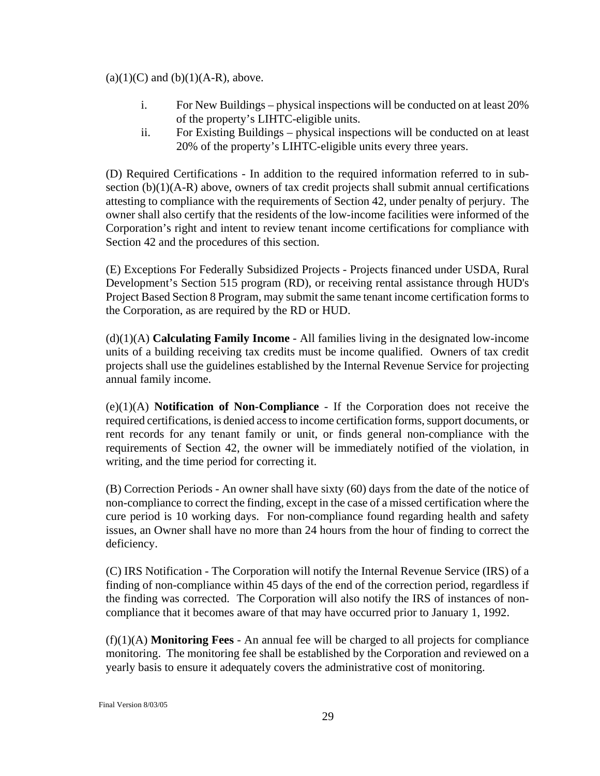#### $(a)(1)(C)$  and  $(b)(1)(A-R)$ , above.

- i. For New Buildings physical inspections will be conducted on at least 20% of the property's LIHTC-eligible units.
- ii. For Existing Buildings physical inspections will be conducted on at least 20% of the property's LIHTC-eligible units every three years.

(D) Required Certifications - In addition to the required information referred to in subsection (b)(1)(A-R) above, owners of tax credit projects shall submit annual certifications attesting to compliance with the requirements of Section 42, under penalty of perjury. The owner shall also certify that the residents of the low-income facilities were informed of the Corporation's right and intent to review tenant income certifications for compliance with Section 42 and the procedures of this section.

(E) Exceptions For Federally Subsidized Projects *-* Projects financed under USDA, Rural Development's Section 515 program (RD), or receiving rental assistance through HUD's Project Based Section 8 Program, may submit the same tenant income certification forms to the Corporation, as are required by the RD or HUD.

(d)(1)(A) **Calculating Family Income** - All families living in the designated low-income units of a building receiving tax credits must be income qualified. Owners of tax credit projects shall use the guidelines established by the Internal Revenue Service for projecting annual family income.

(e)(1)(A) **Notification of Non-Compliance** - If the Corporation does not receive the required certifications, is denied access to income certification forms, support documents, or rent records for any tenant family or unit, or finds general non-compliance with the requirements of Section 42, the owner will be immediately notified of the violation, in writing, and the time period for correcting it.

(B) Correction Periods - An owner shall have sixty (60) days from the date of the notice of non-compliance to correct the finding, except in the case of a missed certification where the cure period is 10 working days. For non-compliance found regarding health and safety issues, an Owner shall have no more than 24 hours from the hour of finding to correct the deficiency.

(C) IRS Notification - The Corporation will notify the Internal Revenue Service (IRS) of a finding of non-compliance within 45 days of the end of the correction period, regardless if the finding was corrected. The Corporation will also notify the IRS of instances of noncompliance that it becomes aware of that may have occurred prior to January 1, 1992.

(f)(1)(A) **Monitoring Fees** - An annual fee will be charged to all projects for compliance monitoring. The monitoring fee shall be established by the Corporation and reviewed on a yearly basis to ensure it adequately covers the administrative cost of monitoring.